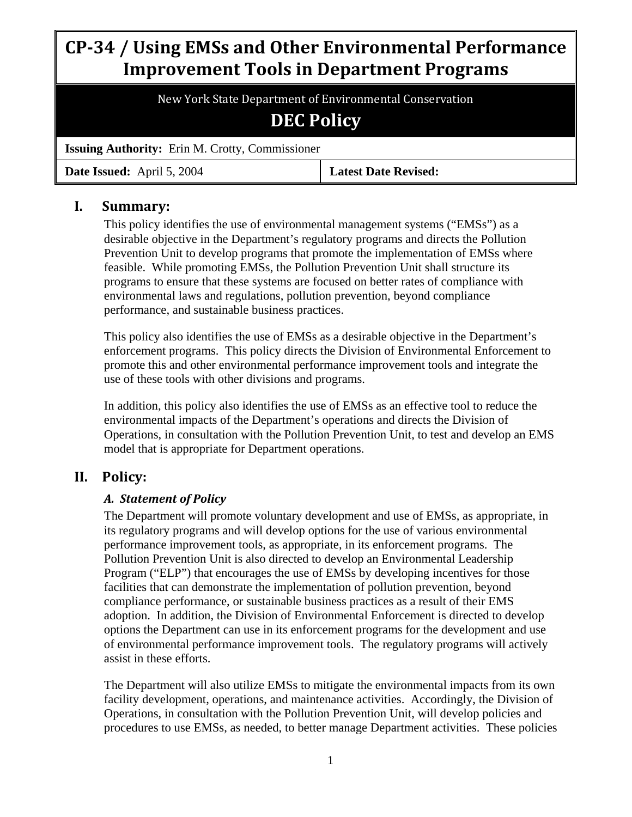# **CP34 / Using EMSs and Other Environmental Performance Improvement Tools in Department Programs**

New York State Department of Environmental Conservation

# **DEC Policy**

**Issuing Authority:** Erin M. Crotty, Commissioner

**Date Issued:** April 5, 2004 **Latest Date Revised:**

# **I. Summary:**

This policy identifies the use of environmental management systems ("EMSs") as a desirable objective in the Department's regulatory programs and directs the Pollution Prevention Unit to develop programs that promote the implementation of EMSs where feasible. While promoting EMSs, the Pollution Prevention Unit shall structure its programs to ensure that these systems are focused on better rates of compliance with environmental laws and regulations, pollution prevention, beyond compliance performance, and sustainable business practices.

This policy also identifies the use of EMSs as a desirable objective in the Department's enforcement programs. This policy directs the Division of Environmental Enforcement to promote this and other environmental performance improvement tools and integrate the use of these tools with other divisions and programs.

In addition, this policy also identifies the use of EMSs as an effective tool to reduce the environmental impacts of the Department's operations and directs the Division of Operations, in consultation with the Pollution Prevention Unit, to test and develop an EMS model that is appropriate for Department operations.

# **II. Policy:**

## *A. Statement of Policy*

The Department will promote voluntary development and use of EMSs, as appropriate, in its regulatory programs and will develop options for the use of various environmental performance improvement tools, as appropriate, in its enforcement programs. The Pollution Prevention Unit is also directed to develop an Environmental Leadership Program ("ELP") that encourages the use of EMSs by developing incentives for those facilities that can demonstrate the implementation of pollution prevention, beyond compliance performance, or sustainable business practices as a result of their EMS adoption. In addition, the Division of Environmental Enforcement is directed to develop options the Department can use in its enforcement programs for the development and use of environmental performance improvement tools. The regulatory programs will actively assist in these efforts.

The Department will also utilize EMSs to mitigate the environmental impacts from its own facility development, operations, and maintenance activities. Accordingly, the Division of Operations, in consultation with the Pollution Prevention Unit, will develop policies and procedures to use EMSs, as needed, to better manage Department activities. These policies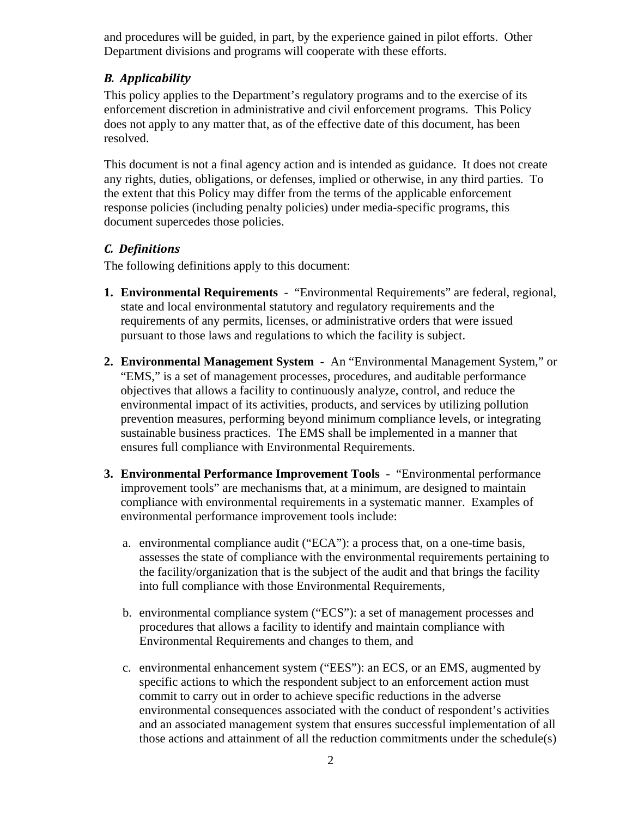and procedures will be guided, in part, by the experience gained in pilot efforts. Other Department divisions and programs will cooperate with these efforts.

# *B. Applicability*

This policy applies to the Department's regulatory programs and to the exercise of its enforcement discretion in administrative and civil enforcement programs. This Policy does not apply to any matter that, as of the effective date of this document, has been resolved.

This document is not a final agency action and is intended as guidance. It does not create any rights, duties, obligations, or defenses, implied or otherwise, in any third parties. To the extent that this Policy may differ from the terms of the applicable enforcement response policies (including penalty policies) under media-specific programs, this document supercedes those policies.

# *C. Definitions*

The following definitions apply to this document:

- **1. Environmental Requirements** "Environmental Requirements" are federal, regional, state and local environmental statutory and regulatory requirements and the requirements of any permits, licenses, or administrative orders that were issued pursuant to those laws and regulations to which the facility is subject.
- **2. Environmental Management System** An "Environmental Management System," or "EMS," is a set of management processes, procedures, and auditable performance objectives that allows a facility to continuously analyze, control, and reduce the environmental impact of its activities, products, and services by utilizing pollution prevention measures, performing beyond minimum compliance levels, or integrating sustainable business practices. The EMS shall be implemented in a manner that ensures full compliance with Environmental Requirements.
- **3. Environmental Performance Improvement Tools** "Environmental performance improvement tools" are mechanisms that, at a minimum, are designed to maintain compliance with environmental requirements in a systematic manner. Examples of environmental performance improvement tools include:
	- a. environmental compliance audit ("ECA"): a process that, on a one-time basis, assesses the state of compliance with the environmental requirements pertaining to the facility/organization that is the subject of the audit and that brings the facility into full compliance with those Environmental Requirements,
	- b. environmental compliance system ("ECS"): a set of management processes and procedures that allows a facility to identify and maintain compliance with Environmental Requirements and changes to them, and
	- c. environmental enhancement system ("EES"): an ECS, or an EMS, augmented by specific actions to which the respondent subject to an enforcement action must commit to carry out in order to achieve specific reductions in the adverse environmental consequences associated with the conduct of respondent's activities and an associated management system that ensures successful implementation of all those actions and attainment of all the reduction commitments under the schedule(s)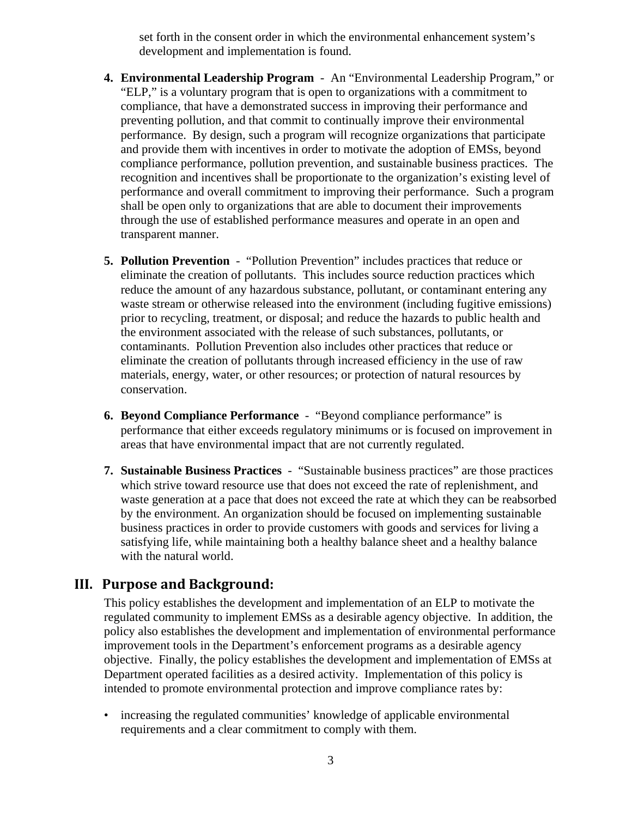set forth in the consent order in which the environmental enhancement system's development and implementation is found.

- **4. Environmental Leadership Program** An "Environmental Leadership Program," or "ELP," is a voluntary program that is open to organizations with a commitment to compliance, that have a demonstrated success in improving their performance and preventing pollution, and that commit to continually improve their environmental performance. By design, such a program will recognize organizations that participate and provide them with incentives in order to motivate the adoption of EMSs, beyond compliance performance, pollution prevention, and sustainable business practices. The recognition and incentives shall be proportionate to the organization's existing level of performance and overall commitment to improving their performance. Such a program shall be open only to organizations that are able to document their improvements through the use of established performance measures and operate in an open and transparent manner.
- **5. Pollution Prevention** "Pollution Prevention" includes practices that reduce or eliminate the creation of pollutants. This includes source reduction practices which reduce the amount of any hazardous substance, pollutant, or contaminant entering any waste stream or otherwise released into the environment (including fugitive emissions) prior to recycling, treatment, or disposal; and reduce the hazards to public health and the environment associated with the release of such substances, pollutants, or contaminants. Pollution Prevention also includes other practices that reduce or eliminate the creation of pollutants through increased efficiency in the use of raw materials, energy, water, or other resources; or protection of natural resources by conservation.
- **6. Beyond Compliance Performance** "Beyond compliance performance" is performance that either exceeds regulatory minimums or is focused on improvement in areas that have environmental impact that are not currently regulated.
- **7. Sustainable Business Practices** "Sustainable business practices" are those practices which strive toward resource use that does not exceed the rate of replenishment, and waste generation at a pace that does not exceed the rate at which they can be reabsorbed by the environment. An organization should be focused on implementing sustainable business practices in order to provide customers with goods and services for living a satisfying life, while maintaining both a healthy balance sheet and a healthy balance with the natural world.

#### **III. Purpose and Background:**

This policy establishes the development and implementation of an ELP to motivate the regulated community to implement EMSs as a desirable agency objective. In addition, the policy also establishes the development and implementation of environmental performance improvement tools in the Department's enforcement programs as a desirable agency objective. Finally, the policy establishes the development and implementation of EMSs at Department operated facilities as a desired activity. Implementation of this policy is intended to promote environmental protection and improve compliance rates by:

• increasing the regulated communities' knowledge of applicable environmental requirements and a clear commitment to comply with them.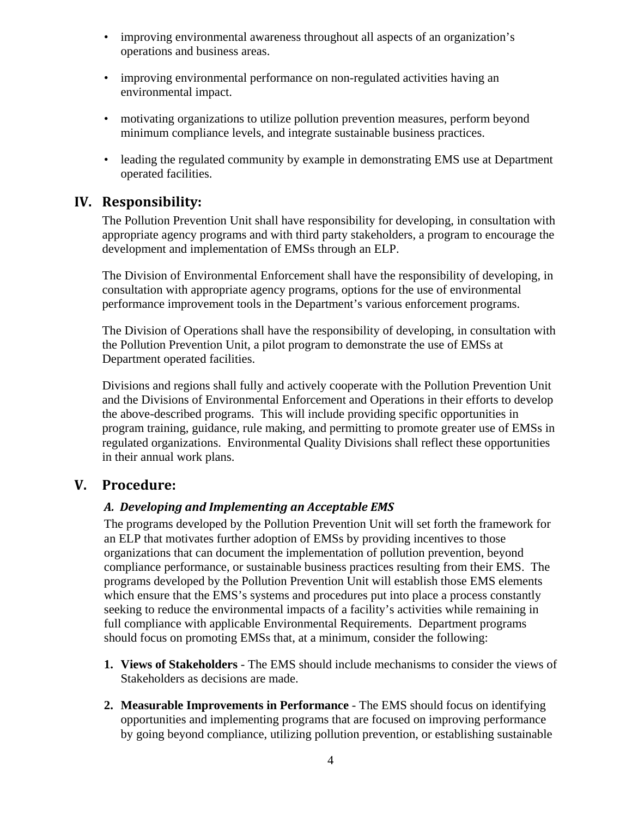- improving environmental awareness throughout all aspects of an organization's operations and business areas.
- improving environmental performance on non-regulated activities having an environmental impact.
- motivating organizations to utilize pollution prevention measures, perform beyond minimum compliance levels, and integrate sustainable business practices.
- leading the regulated community by example in demonstrating EMS use at Department operated facilities.

## **IV. Responsibility:**

The Pollution Prevention Unit shall have responsibility for developing, in consultation with appropriate agency programs and with third party stakeholders, a program to encourage the development and implementation of EMSs through an ELP.

The Division of Environmental Enforcement shall have the responsibility of developing, in consultation with appropriate agency programs, options for the use of environmental performance improvement tools in the Department's various enforcement programs.

The Division of Operations shall have the responsibility of developing, in consultation with the Pollution Prevention Unit, a pilot program to demonstrate the use of EMSs at Department operated facilities.

Divisions and regions shall fully and actively cooperate with the Pollution Prevention Unit and the Divisions of Environmental Enforcement and Operations in their efforts to develop the above-described programs. This will include providing specific opportunities in program training, guidance, rule making, and permitting to promote greater use of EMSs in regulated organizations. Environmental Quality Divisions shall reflect these opportunities in their annual work plans.

# **V. Procedure:**

#### *A. Developing and Implementing an Acceptable EMS*

The programs developed by the Pollution Prevention Unit will set forth the framework for an ELP that motivates further adoption of EMSs by providing incentives to those organizations that can document the implementation of pollution prevention, beyond compliance performance, or sustainable business practices resulting from their EMS. The programs developed by the Pollution Prevention Unit will establish those EMS elements which ensure that the EMS's systems and procedures put into place a process constantly seeking to reduce the environmental impacts of a facility's activities while remaining in full compliance with applicable Environmental Requirements. Department programs should focus on promoting EMSs that, at a minimum, consider the following:

- **1. Views of Stakeholders** The EMS should include mechanisms to consider the views of Stakeholders as decisions are made.
- **2. Measurable Improvements in Performance** The EMS should focus on identifying opportunities and implementing programs that are focused on improving performance by going beyond compliance, utilizing pollution prevention, or establishing sustainable